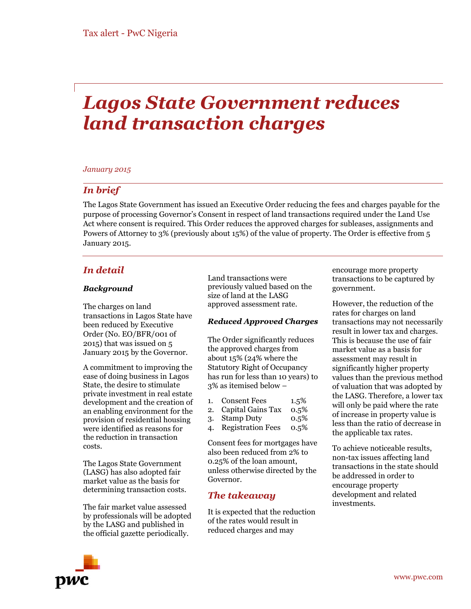# *Lagos State Government reduces land transaction charges*

#### *January 2015*

## *In brief*

The Lagos State Government has issued an Executive Order reducing the fees and charges payable for the purpose of processing Governor's Consent in respect of land transactions required under the Land Use Act where consent is required. This Order reduces the approved charges for subleases, assignments and Powers of Attorney to 3% (previously about 15%) of the value of property. The Order is effective from 5 January 2015.

## *In detail*

#### *Background*

The charges on land transactions in Lagos State have been reduced by Executive Order (No. EO/BFR/001 of 2015) that was issued on 5 January 2015 by the Governor.

A commitment to improving the ease of doing business in Lagos State, the desire to stimulate private investment in real estate development and the creation of an enabling environment for the provision of residential housing were identified as reasons for the reduction in transaction costs.

The Lagos State Government (LASG) has also adopted fair market value as the basis for determining transaction costs.

The fair market value assessed by professionals will be adopted by the LASG and published in the official gazette periodically.

Land transactions were previously valued based on the size of land at the LASG approved assessment rate.

## *Reduced Approved Charges*

The Order significantly reduces the approved charges from about 15% (24% where the Statutory Right of Occupancy has run for less than 10 years) to 3% as itemised below –

- 1. Consent Fees 1.5%
- 2. Capital Gains Tax 0.5%
- 3. Stamp Duty 0.5%
- 4. Registration Fees 0.5%

Consent fees for mortgages have also been reduced from 2% to 0.25% of the loan amount, unless otherwise directed by the Governor.

## *The takeaway*

It is expected that the reduction of the rates would result in reduced charges and may

encourage more property transactions to be captured by government.

However, the reduction of the rates for charges on land transactions may not necessarily result in lower tax and charges. This is because the use of fair market value as a basis for assessment may result in significantly higher property values than the previous method of valuation that was adopted by the LASG. Therefore, a lower tax will only be paid where the rate of increase in property value is less than the ratio of decrease in the applicable tax rates.

To achieve noticeable results, non-tax issues affecting land transactions in the state should be addressed in order to encourage property development and related investments.